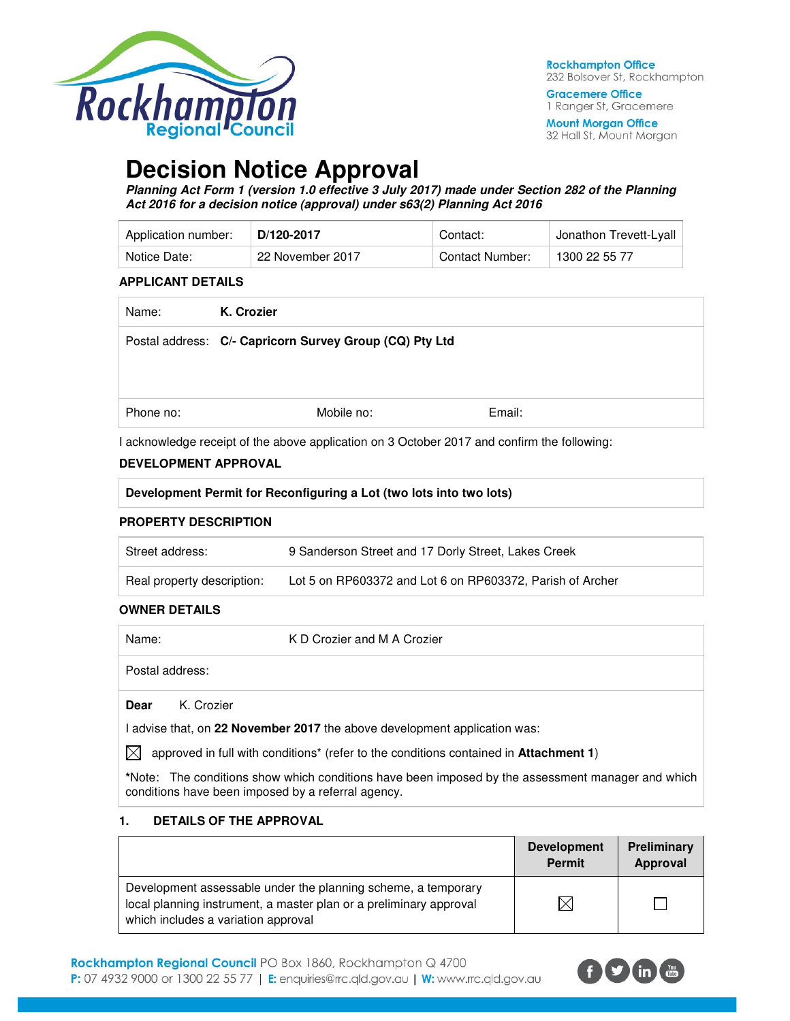

**Gracemere Office** 1 Ranger St, Gracemere

**Mount Morgan Office** 32 Hall St, Mount Morgan

# **Decision Notice Approval**

**Planning Act Form 1 (version 1.0 effective 3 July 2017) made under Section 282 of the Planning Act 2016 for a decision notice (approval) under s63(2) Planning Act 2016** 

| Application number: | D/120-2017       | Contact:        | Jonathon Trevett-Lyall |
|---------------------|------------------|-----------------|------------------------|
| Notice Date:        | 22 November 2017 | Contact Number: | 1300 22 55 77          |

#### **APPLICANT DETAILS**

| K. Crozier |        |                                                         |
|------------|--------|---------------------------------------------------------|
|            |        |                                                         |
|            |        |                                                         |
|            |        |                                                         |
| Mobile no: | Email: |                                                         |
|            |        | Postal address: C/- Capricorn Survey Group (CQ) Pty Ltd |

I acknowledge receipt of the above application on 3 October 2017 and confirm the following:

#### **DEVELOPMENT APPROVAL**

| Development Permit for Reconfiguring a Lot (two lots into two lots) |  |
|---------------------------------------------------------------------|--|
| <b>PROPERTY DESCRIPTION</b>                                         |  |

| Street address:            | 9 Sanderson Street and 17 Dorly Street, Lakes Creek       |
|----------------------------|-----------------------------------------------------------|
| Real property description: | Lot 5 on RP603372 and Lot 6 on RP603372, Parish of Archer |

#### **OWNER DETAILS**

| Name:           |            | K D Crozier and M A Crozier |
|-----------------|------------|-----------------------------|
| Postal address: |            |                             |
| Dear            | K. Crozier |                             |

I advise that, on **22 November 2017** the above development application was:

 $\boxtimes$  approved in full with conditions<sup>\*</sup> (refer to the conditions contained in **Attachment 1**)

**\***Note:The conditions show which conditions have been imposed by the assessment manager and which conditions have been imposed by a referral agency.

#### **1. DETAILS OF THE APPROVAL**

|                                                                                                                                                                            | <b>Development</b><br><b>Permit</b> | Preliminary<br>Approval |
|----------------------------------------------------------------------------------------------------------------------------------------------------------------------------|-------------------------------------|-------------------------|
| Development assessable under the planning scheme, a temporary<br>local planning instrument, a master plan or a preliminary approval<br>which includes a variation approval |                                     |                         |

Rockhampton Regional Council PO Box 1860, Rockhampton Q 4700

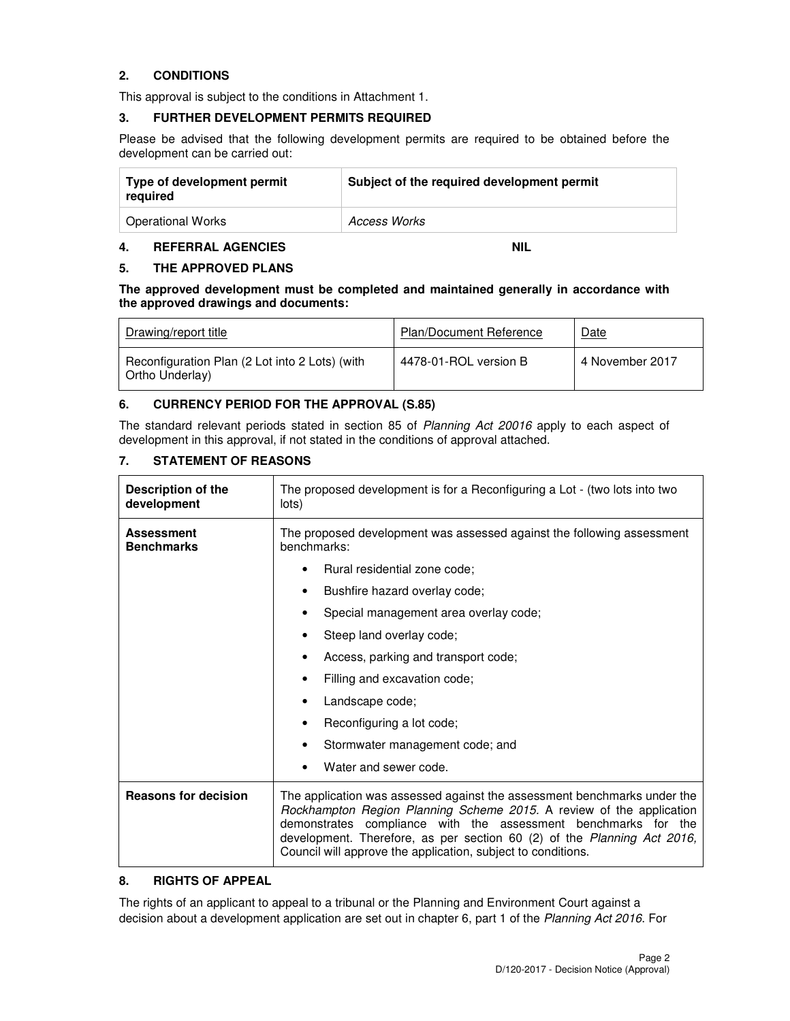# **2. CONDITIONS**

This approval is subject to the conditions in Attachment 1.

#### **3. FURTHER DEVELOPMENT PERMITS REQUIRED**

Please be advised that the following development permits are required to be obtained before the development can be carried out:

| Type of development permit<br>required | Subject of the required development permit |  |
|----------------------------------------|--------------------------------------------|--|
| Operational Works                      | Access Works                               |  |

#### **4. REFERRAL AGENCIES NIL**

#### **5. THE APPROVED PLANS**

**The approved development must be completed and maintained generally in accordance with the approved drawings and documents:** 

| Drawing/report title                                              | <b>Plan/Document Reference</b> | Date            |
|-------------------------------------------------------------------|--------------------------------|-----------------|
| Reconfiguration Plan (2 Lot into 2 Lots) (with<br>Ortho Underlay) | 4478-01-ROL version B          | 4 November 2017 |

## **6. CURRENCY PERIOD FOR THE APPROVAL (S.85)**

The standard relevant periods stated in section 85 of Planning Act 20016 apply to each aspect of development in this approval, if not stated in the conditions of approval attached.

# **7. STATEMENT OF REASONS**

| Description of the<br>development      | The proposed development is for a Reconfiguring a Lot - (two lots into two<br>lots)                                                                                                                                                                                                                                                                           |  |  |
|----------------------------------------|---------------------------------------------------------------------------------------------------------------------------------------------------------------------------------------------------------------------------------------------------------------------------------------------------------------------------------------------------------------|--|--|
| <b>Assessment</b><br><b>Benchmarks</b> | The proposed development was assessed against the following assessment<br>benchmarks:                                                                                                                                                                                                                                                                         |  |  |
|                                        | Rural residential zone code;                                                                                                                                                                                                                                                                                                                                  |  |  |
|                                        | Bushfire hazard overlay code;<br>٠                                                                                                                                                                                                                                                                                                                            |  |  |
|                                        | Special management area overlay code;                                                                                                                                                                                                                                                                                                                         |  |  |
|                                        | Steep land overlay code;                                                                                                                                                                                                                                                                                                                                      |  |  |
|                                        | Access, parking and transport code;                                                                                                                                                                                                                                                                                                                           |  |  |
|                                        | Filling and excavation code;                                                                                                                                                                                                                                                                                                                                  |  |  |
|                                        | Landscape code;                                                                                                                                                                                                                                                                                                                                               |  |  |
|                                        | Reconfiguring a lot code;                                                                                                                                                                                                                                                                                                                                     |  |  |
|                                        | Stormwater management code; and                                                                                                                                                                                                                                                                                                                               |  |  |
|                                        | Water and sewer code.                                                                                                                                                                                                                                                                                                                                         |  |  |
| <b>Reasons for decision</b>            | The application was assessed against the assessment benchmarks under the<br>Rockhampton Region Planning Scheme 2015. A review of the application<br>demonstrates compliance with the assessment benchmarks for the<br>development. Therefore, as per section 60 (2) of the Planning Act 2016,<br>Council will approve the application, subject to conditions. |  |  |

#### **8. RIGHTS OF APPEAL**

The rights of an applicant to appeal to a tribunal or the Planning and Environment Court against a decision about a development application are set out in chapter 6, part 1 of the Planning Act 2016. For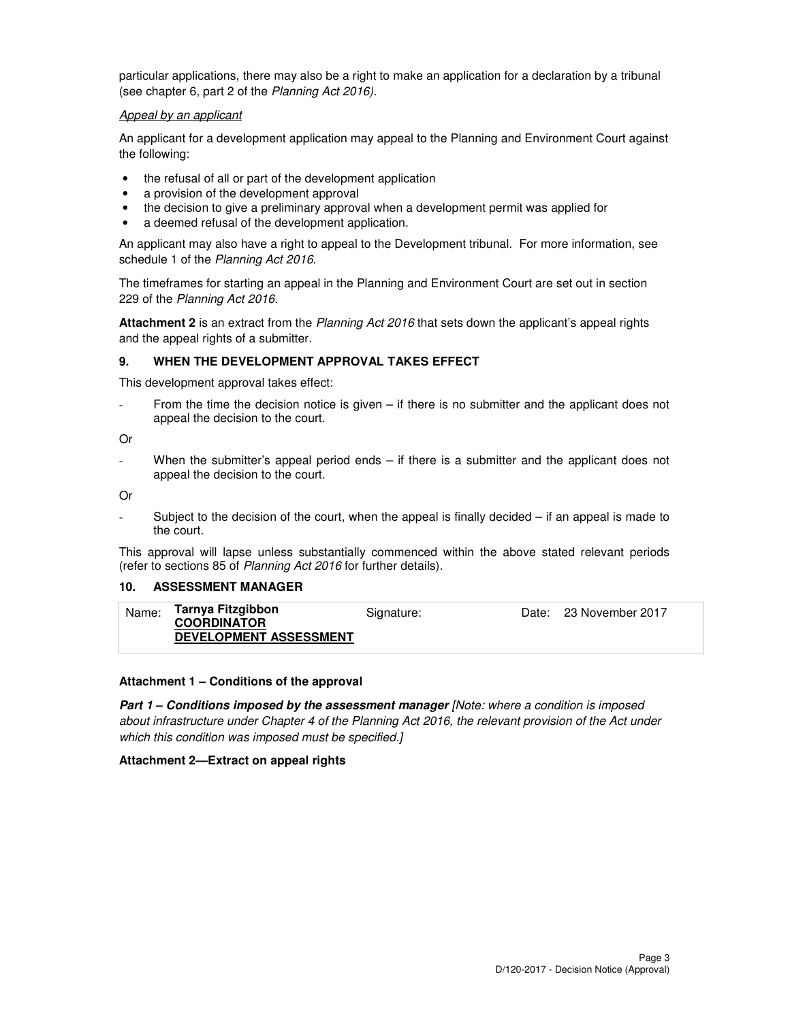particular applications, there may also be a right to make an application for a declaration by a tribunal (see chapter 6, part 2 of the Planning Act 2016).

#### Appeal by an applicant

An applicant for a development application may appeal to the Planning and Environment Court against the following:

- the refusal of all or part of the development application
- a provision of the development approval
- the decision to give a preliminary approval when a development permit was applied for
- a deemed refusal of the development application.

An applicant may also have a right to appeal to the Development tribunal. For more information, see schedule 1 of the Planning Act 2016.

The timeframes for starting an appeal in the Planning and Environment Court are set out in section 229 of the Planning Act 2016.

**Attachment 2** is an extract from the Planning Act 2016 that sets down the applicant's appeal rights and the appeal rights of a submitter.

#### **9. WHEN THE DEVELOPMENT APPROVAL TAKES EFFECT**

This development approval takes effect:

- From the time the decision notice is given – if there is no submitter and the applicant does not appeal the decision to the court.

Or

When the submitter's appeal period ends  $-$  if there is a submitter and the applicant does not appeal the decision to the court.

Or

Subject to the decision of the court, when the appeal is finally decided  $-$  if an appeal is made to the court.

This approval will lapse unless substantially commenced within the above stated relevant periods (refer to sections 85 of Planning Act 2016 for further details).

#### **10. ASSESSMENT MANAGER**

| Name: | Tarnya Fitzgibbon             | Signature: | Date: 23 November 2017 |
|-------|-------------------------------|------------|------------------------|
|       | <b>COORDINATOR</b>            |            |                        |
|       | <b>DEVELOPMENT ASSESSMENT</b> |            |                        |
|       |                               |            |                        |

#### **Attachment 1 – Conditions of the approval**

**Part 1 – Conditions imposed by the assessment manager** [Note: where a condition is imposed about infrastructure under Chapter 4 of the Planning Act 2016, the relevant provision of the Act under which this condition was imposed must be specified.]

#### **Attachment 2—Extract on appeal rights**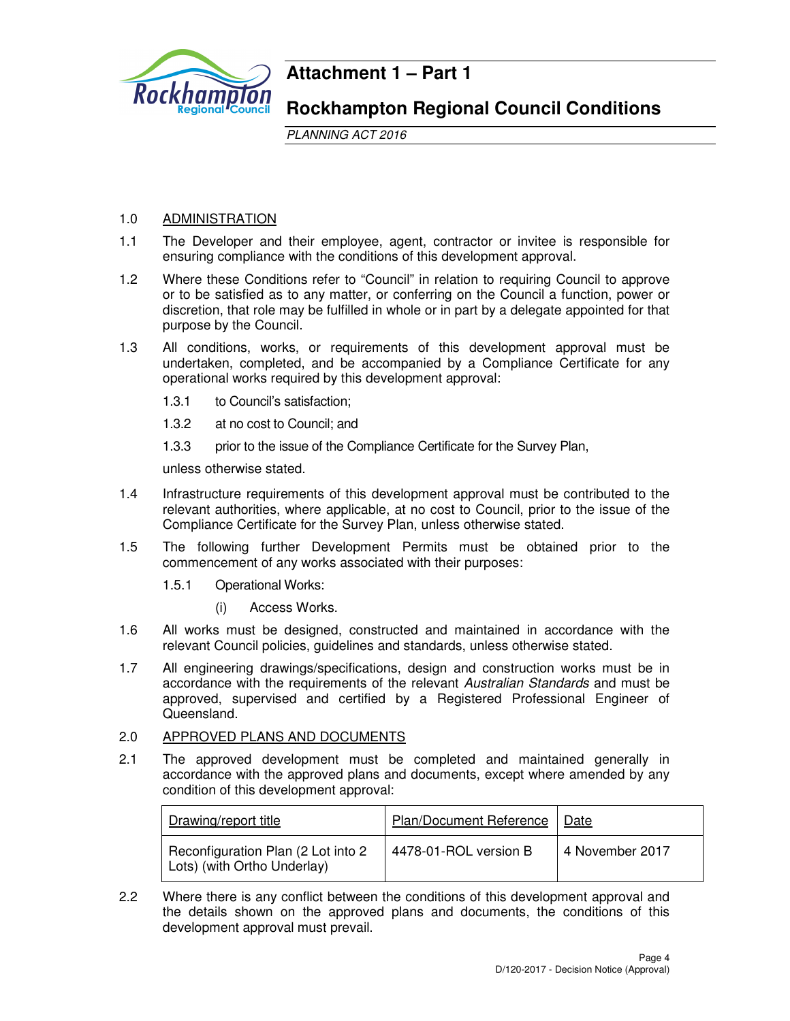

# **Attachment 1 – Part 1**

# **Rockhampton Regional Council Conditions**

PLANNING ACT 2016

# 1.0 ADMINISTRATION

- 1.1 The Developer and their employee, agent, contractor or invitee is responsible for ensuring compliance with the conditions of this development approval.
- 1.2 Where these Conditions refer to "Council" in relation to requiring Council to approve or to be satisfied as to any matter, or conferring on the Council a function, power or discretion, that role may be fulfilled in whole or in part by a delegate appointed for that purpose by the Council.
- 1.3 All conditions, works, or requirements of this development approval must be undertaken, completed, and be accompanied by a Compliance Certificate for any operational works required by this development approval:
	- 1.3.1 to Council's satisfaction;
	- 1.3.2 at no cost to Council; and
	- 1.3.3 prior to the issue of the Compliance Certificate for the Survey Plan,

unless otherwise stated.

- 1.4 Infrastructure requirements of this development approval must be contributed to the relevant authorities, where applicable, at no cost to Council, prior to the issue of the Compliance Certificate for the Survey Plan, unless otherwise stated.
- 1.5 The following further Development Permits must be obtained prior to the commencement of any works associated with their purposes:
	- 1.5.1 Operational Works:
		- (i) Access Works.
- 1.6 All works must be designed, constructed and maintained in accordance with the relevant Council policies, guidelines and standards, unless otherwise stated.
- 1.7 All engineering drawings/specifications, design and construction works must be in accordance with the requirements of the relevant Australian Standards and must be approved, supervised and certified by a Registered Professional Engineer of Queensland.

# 2.0 APPROVED PLANS AND DOCUMENTS

2.1 The approved development must be completed and maintained generally in accordance with the approved plans and documents, except where amended by any condition of this development approval:

| Drawing/report title                                              | Plan/Document Reference | Date            |
|-------------------------------------------------------------------|-------------------------|-----------------|
| Reconfiguration Plan (2 Lot into 2<br>Lots) (with Ortho Underlay) | 4478-01-ROL version B   | 4 November 2017 |

2.2 Where there is any conflict between the conditions of this development approval and the details shown on the approved plans and documents, the conditions of this development approval must prevail.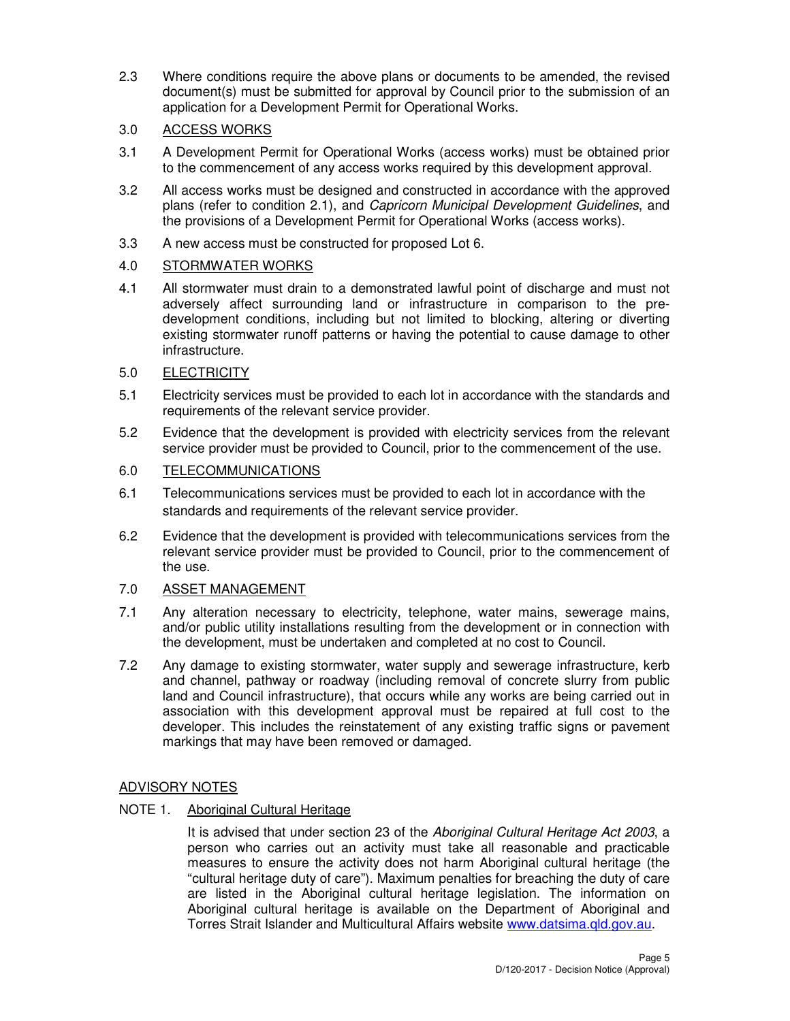2.3 Where conditions require the above plans or documents to be amended, the revised document(s) must be submitted for approval by Council prior to the submission of an application for a Development Permit for Operational Works.

# 3.0 ACCESS WORKS

- 3.1 A Development Permit for Operational Works (access works) must be obtained prior to the commencement of any access works required by this development approval.
- 3.2 All access works must be designed and constructed in accordance with the approved plans (refer to condition 2.1), and Capricorn Municipal Development Guidelines, and the provisions of a Development Permit for Operational Works (access works).
- 3.3 A new access must be constructed for proposed Lot 6.

# 4.0 STORMWATER WORKS

4.1 All stormwater must drain to a demonstrated lawful point of discharge and must not adversely affect surrounding land or infrastructure in comparison to the predevelopment conditions, including but not limited to blocking, altering or diverting existing stormwater runoff patterns or having the potential to cause damage to other infrastructure.

# 5.0 ELECTRICITY

- 5.1 Electricity services must be provided to each lot in accordance with the standards and requirements of the relevant service provider.
- 5.2 Evidence that the development is provided with electricity services from the relevant service provider must be provided to Council, prior to the commencement of the use.

# 6.0 TELECOMMUNICATIONS

- 6.1 Telecommunications services must be provided to each lot in accordance with the standards and requirements of the relevant service provider.
- 6.2 Evidence that the development is provided with telecommunications services from the relevant service provider must be provided to Council, prior to the commencement of the use.

# 7.0 ASSET MANAGEMENT

- 7.1 Any alteration necessary to electricity, telephone, water mains, sewerage mains, and/or public utility installations resulting from the development or in connection with the development, must be undertaken and completed at no cost to Council.
- 7.2 Any damage to existing stormwater, water supply and sewerage infrastructure, kerb and channel, pathway or roadway (including removal of concrete slurry from public land and Council infrastructure), that occurs while any works are being carried out in association with this development approval must be repaired at full cost to the developer. This includes the reinstatement of any existing traffic signs or pavement markings that may have been removed or damaged.

# ADVISORY NOTES

# NOTE 1. Aboriginal Cultural Heritage

It is advised that under section 23 of the Aboriginal Cultural Heritage Act 2003, a person who carries out an activity must take all reasonable and practicable measures to ensure the activity does not harm Aboriginal cultural heritage (the "cultural heritage duty of care"). Maximum penalties for breaching the duty of care are listed in the Aboriginal cultural heritage legislation. The information on Aboriginal cultural heritage is available on the Department of Aboriginal and Torres Strait Islander and Multicultural Affairs website www.datsima.qld.gov.au.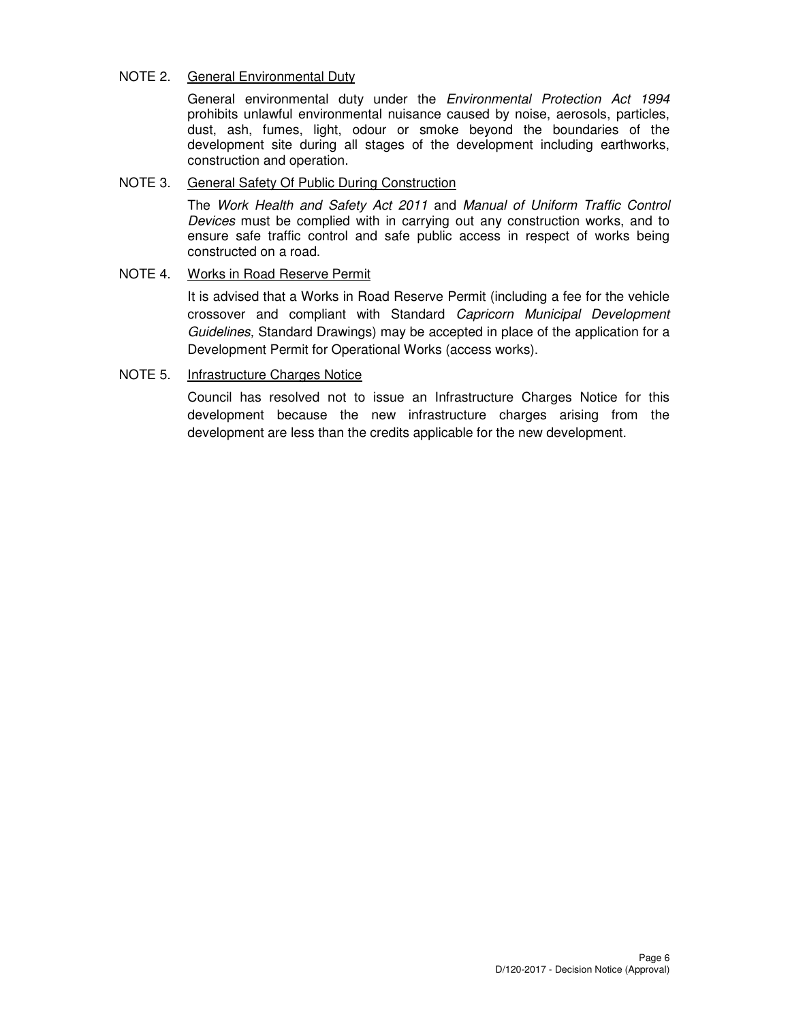# NOTE 2. General Environmental Duty

General environmental duty under the Environmental Protection Act 1994 prohibits unlawful environmental nuisance caused by noise, aerosols, particles, dust, ash, fumes, light, odour or smoke beyond the boundaries of the development site during all stages of the development including earthworks, construction and operation.

#### NOTE 3. General Safety Of Public During Construction

The Work Health and Safety Act 2011 and Manual of Uniform Traffic Control Devices must be complied with in carrying out any construction works, and to ensure safe traffic control and safe public access in respect of works being constructed on a road.

## NOTE 4. Works in Road Reserve Permit

It is advised that a Works in Road Reserve Permit (including a fee for the vehicle crossover and compliant with Standard Capricorn Municipal Development Guidelines, Standard Drawings) may be accepted in place of the application for a Development Permit for Operational Works (access works).

## NOTE 5. Infrastructure Charges Notice

Council has resolved not to issue an Infrastructure Charges Notice for this development because the new infrastructure charges arising from the development are less than the credits applicable for the new development.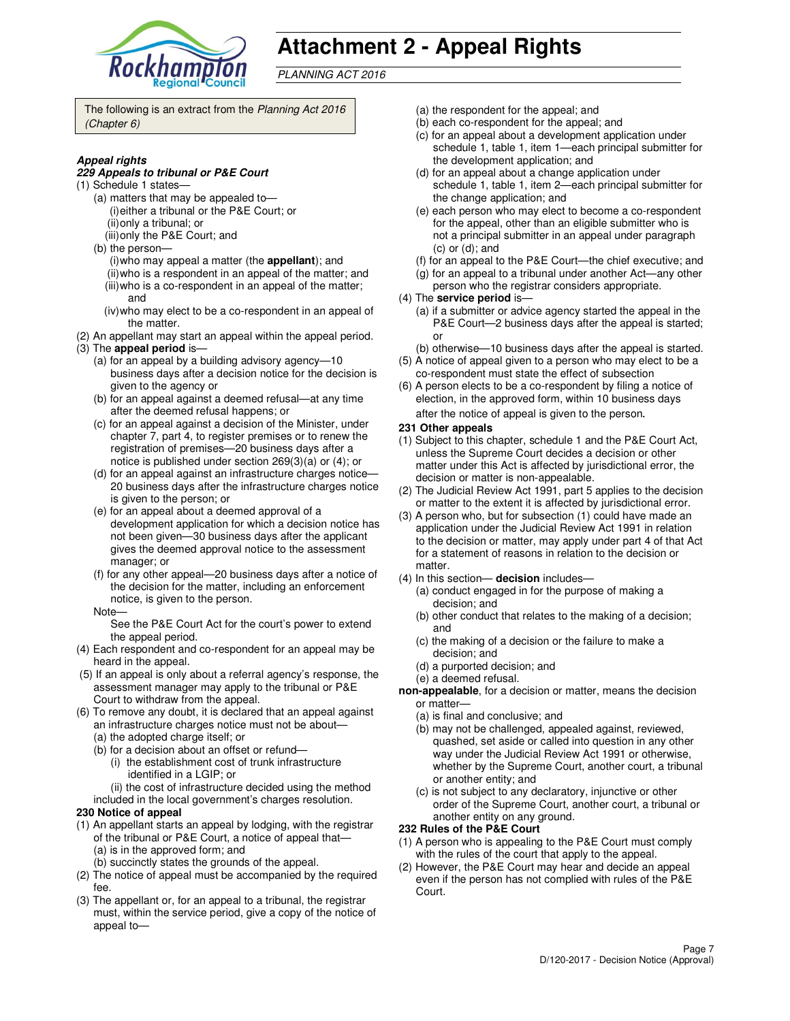

# **Attachment 2 - Appeal Rights**

PLANNING ACT 2016

The following is an extract from the Planning Act 2016 (Chapter 6)

#### **Appeal rights**

#### **229 Appeals to tribunal or P&E Court**

- (1) Schedule 1 states—
	- (a) matters that may be appealed to— (i) either a tribunal or the P&E Court; or (ii) only a tribunal; or
	- (iii) only the P&E Court; and
	- (b) the person—
		- (i) who may appeal a matter (the **appellant**); and (ii) who is a respondent in an appeal of the matter; and (iii) who is a co-respondent in an appeal of the matter;
		- and (iv) who may elect to be a co-respondent in an appeal of
	- the matter.
- (2) An appellant may start an appeal within the appeal period. (3) The **appeal period** is—
	- (a) for an appeal by a building advisory agency—10 business days after a decision notice for the decision is given to the agency or
	- (b) for an appeal against a deemed refusal—at any time after the deemed refusal happens; or
	- (c) for an appeal against a decision of the Minister, under chapter 7, part 4, to register premises or to renew the registration of premises—20 business days after a notice is published under section 269(3)(a) or (4); or
	- (d) for an appeal against an infrastructure charges notice— 20 business days after the infrastructure charges notice is given to the person; or
	- (e) for an appeal about a deemed approval of a development application for which a decision notice has not been given—30 business days after the applicant gives the deemed approval notice to the assessment manager; or
	- (f) for any other appeal—20 business days after a notice of the decision for the matter, including an enforcement notice, is given to the person.
	- Note—

See the P&E Court Act for the court's power to extend the appeal period.

- (4) Each respondent and co-respondent for an appeal may be heard in the appeal.
- (5) If an appeal is only about a referral agency's response, the assessment manager may apply to the tribunal or P&E Court to withdraw from the appeal.
- (6) To remove any doubt, it is declared that an appeal against an infrastructure charges notice must not be about—
	- (a) the adopted charge itself; or
	- (b) for a decision about an offset or refund—
		- (i) the establishment cost of trunk infrastructure identified in a LGIP; or
		- (ii) the cost of infrastructure decided using the method
	- included in the local government's charges resolution.
- **230 Notice of appeal**
- (1) An appellant starts an appeal by lodging, with the registrar of the tribunal or P&E Court, a notice of appeal that— (a) is in the approved form; and
	- (b) succinctly states the grounds of the appeal.
- (2) The notice of appeal must be accompanied by the required fee.
- (3) The appellant or, for an appeal to a tribunal, the registrar must, within the service period, give a copy of the notice of appeal to—
- (a) the respondent for the appeal; and
- (b) each co-respondent for the appeal; and
- (c) for an appeal about a development application under schedule 1, table 1, item 1—each principal submitter for the development application; and
- (d) for an appeal about a change application under schedule 1, table 1, item 2—each principal submitter for the change application; and
- (e) each person who may elect to become a co-respondent for the appeal, other than an eligible submitter who is not a principal submitter in an appeal under paragraph (c) or (d); and
- (f) for an appeal to the P&E Court—the chief executive; and
- (g) for an appeal to a tribunal under another Act—any other
- person who the registrar considers appropriate.
- (4) The **service period** is—
	- (a) if a submitter or advice agency started the appeal in the P&E Court—2 business days after the appeal is started; or
- (b) otherwise—10 business days after the appeal is started. (5) A notice of appeal given to a person who may elect to be a
- co-respondent must state the effect of subsection (6) A person elects to be a co-respondent by filing a notice of
- election, in the approved form, within 10 business days after the notice of appeal is given to the person*.*
- **231 Other appeals**
- (1) Subject to this chapter, schedule 1 and the P&E Court Act, unless the Supreme Court decides a decision or other matter under this Act is affected by jurisdictional error, the decision or matter is non-appealable.
- (2) The Judicial Review Act 1991, part 5 applies to the decision or matter to the extent it is affected by jurisdictional error.
- (3) A person who, but for subsection (1) could have made an application under the Judicial Review Act 1991 in relation to the decision or matter, may apply under part 4 of that Act for a statement of reasons in relation to the decision or matter.
- (4) In this section— **decision** includes—
	- (a) conduct engaged in for the purpose of making a decision; and
	- (b) other conduct that relates to the making of a decision; and
	- (c) the making of a decision or the failure to make a decision; and
	- (d) a purported decision; and
	- (e) a deemed refusal.
- **non-appealable**, for a decision or matter, means the decision or matter—
	- (a) is final and conclusive; and
	- (b) may not be challenged, appealed against, reviewed, quashed, set aside or called into question in any other way under the Judicial Review Act 1991 or otherwise, whether by the Supreme Court, another court, a tribunal or another entity; and
	- (c) is not subject to any declaratory, injunctive or other order of the Supreme Court, another court, a tribunal or another entity on any ground.

#### **232 Rules of the P&E Court**

- (1) A person who is appealing to the P&E Court must comply with the rules of the court that apply to the appeal.
- (2) However, the P&E Court may hear and decide an appeal even if the person has not complied with rules of the P&E Court.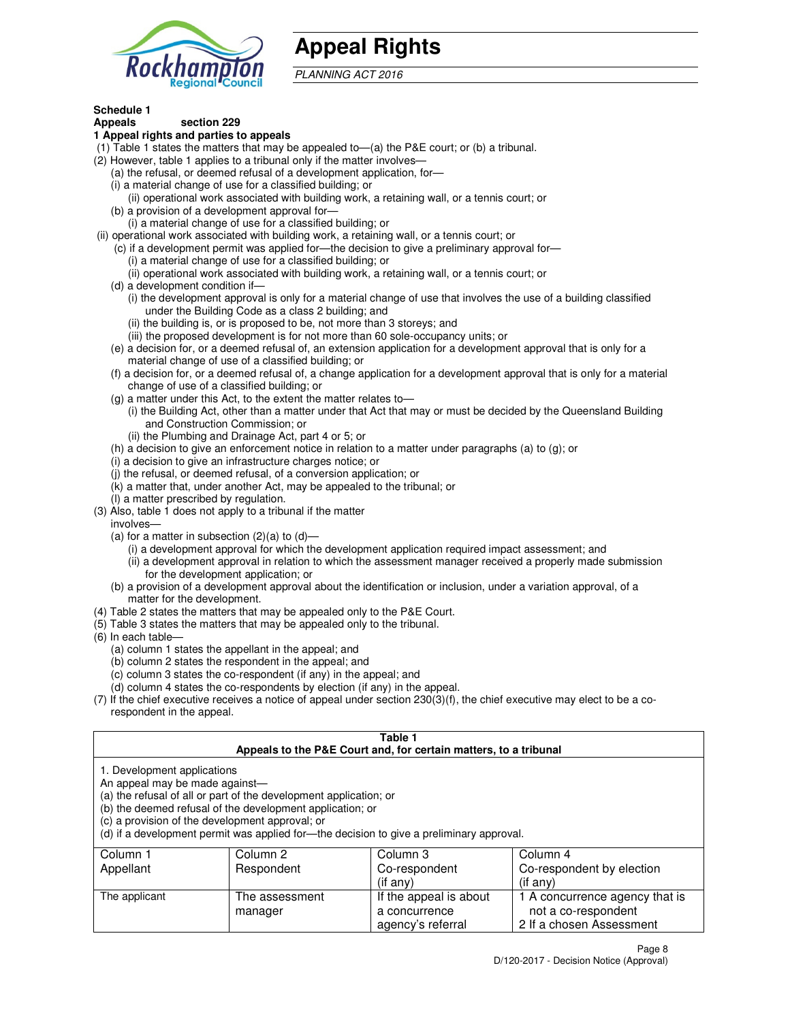

# **Appeal Rights**

PLANNING ACT 2016

#### **Schedule 1 Appeals section 229**

# **1 Appeal rights and parties to appeals**

- (1) Table 1 states the matters that may be appealed to—(a) the P&E court; or (b) a tribunal.
- (2) However, table 1 applies to a tribunal only if the matter involves—
	- (a) the refusal, or deemed refusal of a development application, for—
	- (i) a material change of use for a classified building; or
	- (ii) operational work associated with building work, a retaining wall, or a tennis court; or (b) a provision of a development approval for—
	- (i) a material change of use for a classified building; or
- (ii) operational work associated with building work, a retaining wall, or a tennis court; or
	- (c) if a development permit was applied for—the decision to give a preliminary approval for—
		- (i) a material change of use for a classified building; or
		- (ii) operational work associated with building work, a retaining wall, or a tennis court; or
	- (d) a development condition if—
		- (i) the development approval is only for a material change of use that involves the use of a building classified under the Building Code as a class 2 building; and
		- (ii) the building is, or is proposed to be, not more than 3 storeys; and
		- (iii) the proposed development is for not more than 60 sole-occupancy units; or
	- (e) a decision for, or a deemed refusal of, an extension application for a development approval that is only for a material change of use of a classified building; or
	- (f) a decision for, or a deemed refusal of, a change application for a development approval that is only for a material change of use of a classified building; or
	- (g) a matter under this Act, to the extent the matter relates to—
		- (i) the Building Act, other than a matter under that Act that may or must be decided by the Queensland Building and Construction Commission; or
		- (ii) the Plumbing and Drainage Act, part 4 or 5; or
	- (h) a decision to give an enforcement notice in relation to a matter under paragraphs (a) to (g); or
	- (i) a decision to give an infrastructure charges notice; or
	- (j) the refusal, or deemed refusal, of a conversion application; or
	- (k) a matter that, under another Act, may be appealed to the tribunal; or
	- (l) a matter prescribed by regulation.
- (3) Also, table 1 does not apply to a tribunal if the matter
- involves—
	- (a) for a matter in subsection  $(2)(a)$  to  $(d)$ 
		- (i) a development approval for which the development application required impact assessment; and
		- (ii) a development approval in relation to which the assessment manager received a properly made submission for the development application; or
	- (b) a provision of a development approval about the identification or inclusion, under a variation approval, of a matter for the development.
- (4) Table 2 states the matters that may be appealed only to the P&E Court.
- (5) Table 3 states the matters that may be appealed only to the tribunal.
- (6) In each table—
	- (a) column 1 states the appellant in the appeal; and
	- (b) column 2 states the respondent in the appeal; and
	- (c) column 3 states the co-respondent (if any) in the appeal; and
	- (d) column 4 states the co-respondents by election (if any) in the appeal.
- (7) If the chief executive receives a notice of appeal under section 230(3)(f), the chief executive may elect to be a corespondent in the appeal.

## **Table 1**

| Appeals to the P&E Court and, for certain matters, to a tribunal |                                                                                                                                                                                                                                                                               |                        |                                |  |
|------------------------------------------------------------------|-------------------------------------------------------------------------------------------------------------------------------------------------------------------------------------------------------------------------------------------------------------------------------|------------------------|--------------------------------|--|
| 1. Development applications<br>An appeal may be made against-    | (a) the refusal of all or part of the development application; or<br>(b) the deemed refusal of the development application; or<br>(c) a provision of the development approval; or<br>(d) if a development permit was applied for—the decision to give a preliminary approval. |                        |                                |  |
| Column 1                                                         | Column 2                                                                                                                                                                                                                                                                      | Column 3               | Column 4                       |  |
| Appellant                                                        | Respondent                                                                                                                                                                                                                                                                    | Co-respondent          | Co-respondent by election      |  |
|                                                                  |                                                                                                                                                                                                                                                                               | (if any)               | $(if$ any)                     |  |
| The applicant                                                    | The assessment                                                                                                                                                                                                                                                                | If the appeal is about | 1 A concurrence agency that is |  |
|                                                                  | manager                                                                                                                                                                                                                                                                       | a concurrence          | not a co-respondent            |  |

agency's referral

2 If a chosen Assessment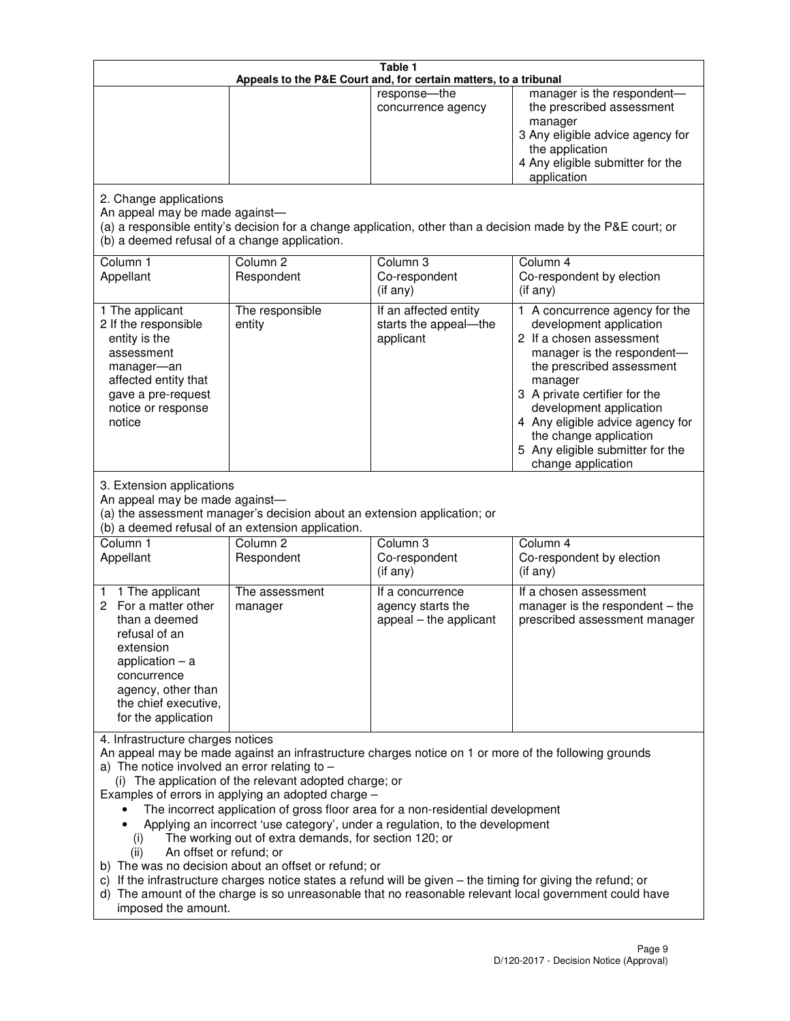|                                                                                                                                                                                                      |                                                                                                                                                                                                                               | Table 1<br>Appeals to the P&E Court and, for certain matters, to a tribunal                                                                                                                                                                                                     |                                                                                                                                                                                                                                                                                                                                                 |
|------------------------------------------------------------------------------------------------------------------------------------------------------------------------------------------------------|-------------------------------------------------------------------------------------------------------------------------------------------------------------------------------------------------------------------------------|---------------------------------------------------------------------------------------------------------------------------------------------------------------------------------------------------------------------------------------------------------------------------------|-------------------------------------------------------------------------------------------------------------------------------------------------------------------------------------------------------------------------------------------------------------------------------------------------------------------------------------------------|
|                                                                                                                                                                                                      |                                                                                                                                                                                                                               | response-the<br>concurrence agency                                                                                                                                                                                                                                              | manager is the respondent-<br>the prescribed assessment<br>manager<br>3 Any eligible advice agency for<br>the application<br>4 Any eligible submitter for the<br>application                                                                                                                                                                    |
| 2. Change applications<br>An appeal may be made against-<br>(b) a deemed refusal of a change application.                                                                                            |                                                                                                                                                                                                                               |                                                                                                                                                                                                                                                                                 | (a) a responsible entity's decision for a change application, other than a decision made by the P&E court; or                                                                                                                                                                                                                                   |
| Column 1<br>Appellant                                                                                                                                                                                | Column <sub>2</sub><br>Respondent                                                                                                                                                                                             | Column 3<br>Co-respondent<br>(if any)                                                                                                                                                                                                                                           | Column 4<br>Co-respondent by election<br>(if any)                                                                                                                                                                                                                                                                                               |
| 1 The applicant<br>2 If the responsible<br>entity is the<br>assessment<br>manager-an<br>affected entity that<br>gave a pre-request<br>notice or response<br>notice                                   | The responsible<br>entity                                                                                                                                                                                                     | If an affected entity<br>starts the appeal-the<br>applicant                                                                                                                                                                                                                     | 1 A concurrence agency for the<br>development application<br>2 If a chosen assessment<br>manager is the respondent-<br>the prescribed assessment<br>manager<br>3 A private certifier for the<br>development application<br>4 Any eligible advice agency for<br>the change application<br>5 Any eligible submitter for the<br>change application |
| 3. Extension applications<br>An appeal may be made against-<br>Column 1<br>Appellant                                                                                                                 | (a) the assessment manager's decision about an extension application; or<br>(b) a deemed refusal of an extension application.<br>Column <sub>2</sub><br>Respondent                                                            | Column 3<br>Co-respondent                                                                                                                                                                                                                                                       | Column 4<br>Co-respondent by election                                                                                                                                                                                                                                                                                                           |
| 1 The applicant<br>1<br>2 For a matter other<br>than a deemed<br>refusal of an<br>extension<br>application $-$ a<br>concurrence<br>agency, other than<br>the chief executive,<br>for the application | The assessment<br>manager                                                                                                                                                                                                     | (if any)<br>If a concurrence<br>agency starts the<br>appeal - the applicant                                                                                                                                                                                                     | (if any)<br>If a chosen assessment<br>manager is the respondent $-$ the<br>prescribed assessment manager                                                                                                                                                                                                                                        |
| 4. Infrastructure charges notices<br>a) The notice involved an error relating to $-$<br>(i)<br>An offset or refund; or<br>(ii)<br>imposed the amount.                                                | (i) The application of the relevant adopted charge; or<br>Examples of errors in applying an adopted charge -<br>The working out of extra demands, for section 120; or<br>b) The was no decision about an offset or refund; or | The incorrect application of gross floor area for a non-residential development<br>Applying an incorrect 'use category', under a regulation, to the development<br>c) If the infrastructure charges notice states a refund will be given - the timing for giving the refund; or | An appeal may be made against an infrastructure charges notice on 1 or more of the following grounds<br>d) The amount of the charge is so unreasonable that no reasonable relevant local government could have                                                                                                                                  |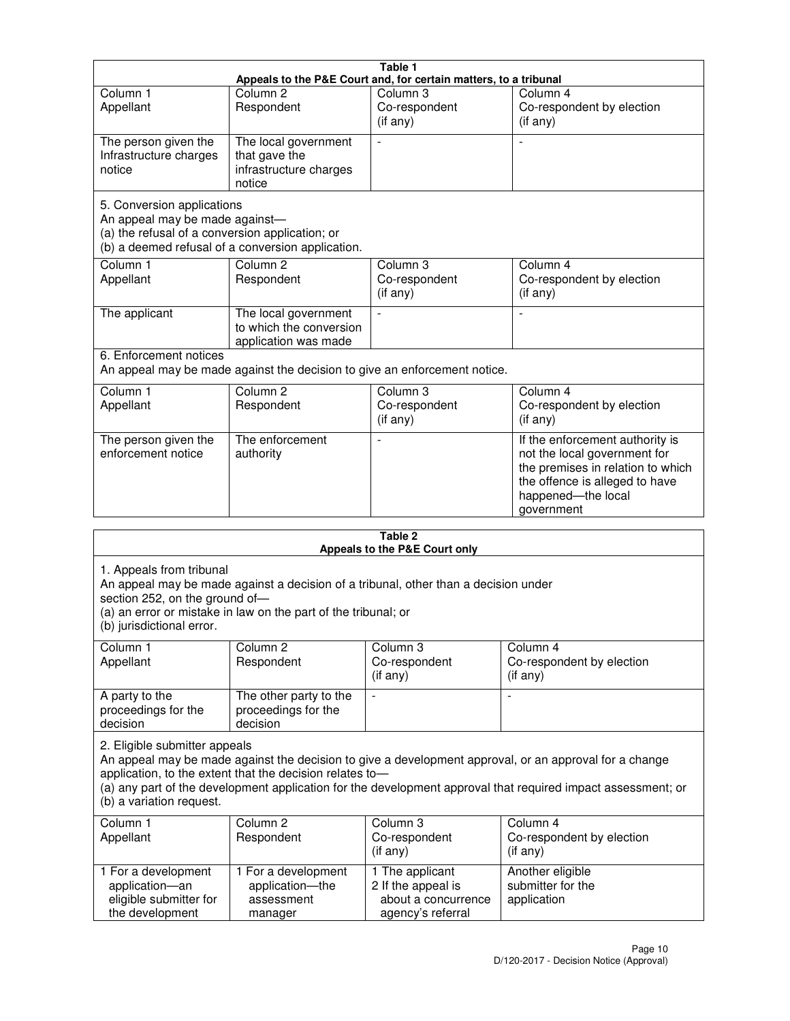|                                                                                                                 |                                                                           | Table 1                                                          |                                                                                                                                                                            |
|-----------------------------------------------------------------------------------------------------------------|---------------------------------------------------------------------------|------------------------------------------------------------------|----------------------------------------------------------------------------------------------------------------------------------------------------------------------------|
|                                                                                                                 |                                                                           | Appeals to the P&E Court and, for certain matters, to a tribunal |                                                                                                                                                                            |
| Column <sub>1</sub><br>Appellant                                                                                | Column <sub>2</sub><br>Respondent                                         | Column 3<br>Co-respondent<br>(if any)                            | Column 4<br>Co-respondent by election<br>(if any)                                                                                                                          |
| The person given the<br>Infrastructure charges<br>notice                                                        | The local government<br>that gave the<br>infrastructure charges<br>notice |                                                                  |                                                                                                                                                                            |
| 5. Conversion applications<br>An appeal may be made against-<br>(a) the refusal of a conversion application; or | (b) a deemed refusal of a conversion application.                         |                                                                  |                                                                                                                                                                            |
| Column <sub>1</sub><br>Appellant                                                                                | Column <sub>2</sub><br>Respondent                                         | Column <sub>3</sub><br>Co-respondent<br>(if any)                 | Column 4<br>Co-respondent by election<br>(if any)                                                                                                                          |
| The applicant                                                                                                   | The local government<br>to which the conversion<br>application was made   |                                                                  |                                                                                                                                                                            |
| 6. Enforcement notices                                                                                          | An appeal may be made against the decision to give an enforcement notice. |                                                                  |                                                                                                                                                                            |
| Column <sub>1</sub><br>Appellant                                                                                | Column <sub>2</sub><br>Respondent                                         | Column <sub>3</sub><br>Co-respondent<br>(if any)                 | Column 4<br>Co-respondent by election<br>(if any)                                                                                                                          |
| The person given the<br>enforcement notice                                                                      | The enforcement<br>authority                                              |                                                                  | If the enforcement authority is<br>not the local government for<br>the premises in relation to which<br>the offence is alleged to have<br>happened-the local<br>government |
|                                                                                                                 |                                                                           | 9 Ahla                                                           |                                                                                                                                                                            |

| Table 2<br>Appeals to the P&E Court only                                                |                                                                                                                                                       |                                                                                   |                                                                                                                                                                                                                        |
|-----------------------------------------------------------------------------------------|-------------------------------------------------------------------------------------------------------------------------------------------------------|-----------------------------------------------------------------------------------|------------------------------------------------------------------------------------------------------------------------------------------------------------------------------------------------------------------------|
| 1. Appeals from tribunal<br>section 252, on the ground of-<br>(b) jurisdictional error. | An appeal may be made against a decision of a tribunal, other than a decision under<br>(a) an error or mistake in law on the part of the tribunal; or |                                                                                   |                                                                                                                                                                                                                        |
| Column <sub>1</sub><br>Appellant                                                        | Column <sub>2</sub><br>Respondent                                                                                                                     | Column 3<br>Co-respondent<br>(if any)                                             | Column <sub>4</sub><br>Co-respondent by election<br>(if any)                                                                                                                                                           |
| A party to the<br>proceedings for the<br>decision                                       | The other party to the<br>proceedings for the<br>decision                                                                                             | $\blacksquare$                                                                    |                                                                                                                                                                                                                        |
| 2. Eligible submitter appeals<br>(b) a variation request.                               | application, to the extent that the decision relates to-                                                                                              |                                                                                   | An appeal may be made against the decision to give a development approval, or an approval for a change<br>(a) any part of the development application for the development approval that required impact assessment; or |
| Column 1<br>Appellant                                                                   | Column <sub>2</sub><br>Respondent                                                                                                                     | Column <sub>3</sub><br>Co-respondent<br>(i f any)                                 | Column 4<br>Co-respondent by election<br>(i f any)                                                                                                                                                                     |
| 1 For a development<br>application-an<br>eligible submitter for<br>the development      | 1 For a development<br>application-the<br>assessment<br>manager                                                                                       | 1 The applicant<br>2 If the appeal is<br>about a concurrence<br>agency's referral | Another eligible<br>submitter for the<br>application                                                                                                                                                                   |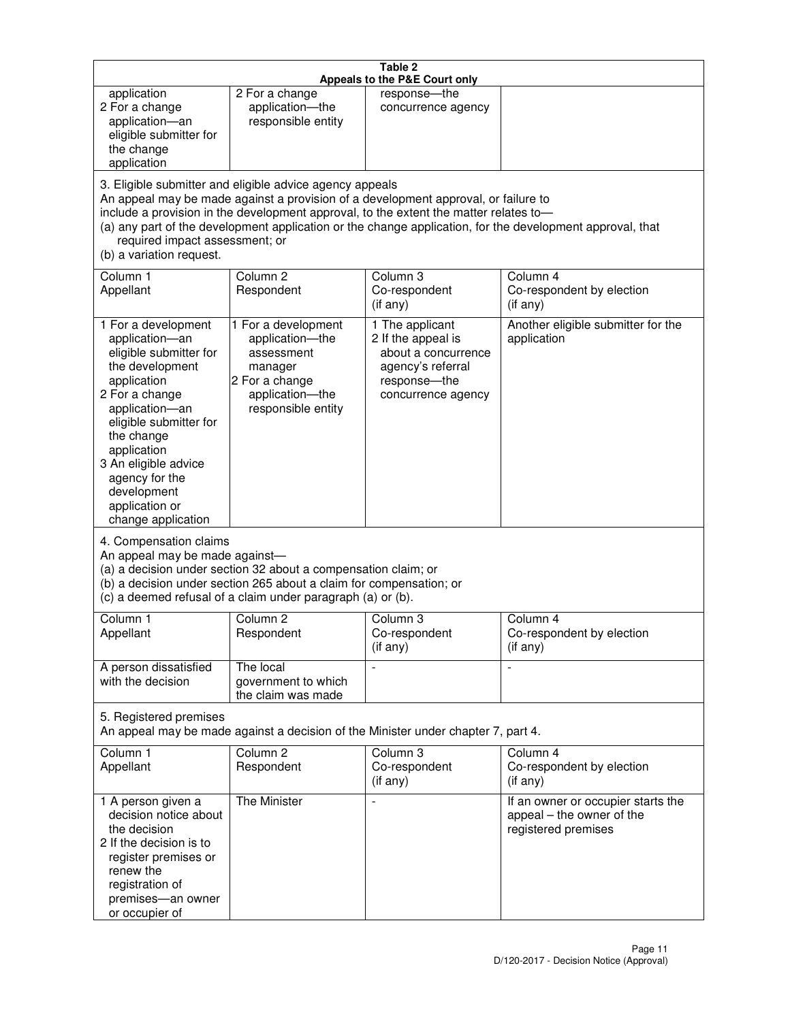|                                                                                                                                                                                                                                                                                               |                                                                                                                                                                                                      | Table 2<br>Appeals to the P&E Court only                                                                                                                                    |                                                                                                           |
|-----------------------------------------------------------------------------------------------------------------------------------------------------------------------------------------------------------------------------------------------------------------------------------------------|------------------------------------------------------------------------------------------------------------------------------------------------------------------------------------------------------|-----------------------------------------------------------------------------------------------------------------------------------------------------------------------------|-----------------------------------------------------------------------------------------------------------|
| application<br>2 For a change<br>application-an<br>eligible submitter for<br>the change<br>application                                                                                                                                                                                        | 2 For a change<br>application-the<br>responsible entity                                                                                                                                              | response-the<br>concurrence agency                                                                                                                                          |                                                                                                           |
| required impact assessment; or<br>(b) a variation request.                                                                                                                                                                                                                                    | 3. Eligible submitter and eligible advice agency appeals                                                                                                                                             | An appeal may be made against a provision of a development approval, or failure to<br>include a provision in the development approval, to the extent the matter relates to- | (a) any part of the development application or the change application, for the development approval, that |
| Column 1<br>Appellant                                                                                                                                                                                                                                                                         | Column <sub>2</sub><br>Respondent                                                                                                                                                                    | Column <sub>3</sub><br>Co-respondent<br>(if any)                                                                                                                            | Column 4<br>Co-respondent by election<br>(i f any)                                                        |
| 1 For a development<br>application-an<br>eligible submitter for<br>the development<br>application<br>2 For a change<br>application-an<br>eligible submitter for<br>the change<br>application<br>3 An eligible advice<br>agency for the<br>development<br>application or<br>change application | 1 For a development<br>application-the<br>assessment<br>manager<br>2 For a change<br>application-the<br>responsible entity                                                                           | 1 The applicant<br>2 If the appeal is<br>about a concurrence<br>agency's referral<br>response-the<br>concurrence agency                                                     | Another eligible submitter for the<br>application                                                         |
| 4. Compensation claims<br>An appeal may be made against-                                                                                                                                                                                                                                      | (a) a decision under section 32 about a compensation claim; or<br>(b) a decision under section 265 about a claim for compensation; or<br>(c) a deemed refusal of a claim under paragraph (a) or (b). |                                                                                                                                                                             |                                                                                                           |
| Column 1<br>Appellant                                                                                                                                                                                                                                                                         | Column 2<br>Respondent                                                                                                                                                                               | Column 3<br>Co-respondent<br>(if any)                                                                                                                                       | Column 4<br>Co-respondent by election<br>(if any)                                                         |
| A person dissatisfied<br>with the decision                                                                                                                                                                                                                                                    | The local<br>government to which<br>the claim was made                                                                                                                                               |                                                                                                                                                                             | $\blacksquare$                                                                                            |
| 5. Registered premises                                                                                                                                                                                                                                                                        |                                                                                                                                                                                                      | An appeal may be made against a decision of the Minister under chapter 7, part 4.                                                                                           |                                                                                                           |
| Column 1<br>Appellant                                                                                                                                                                                                                                                                         | Column <sub>2</sub><br>Respondent                                                                                                                                                                    | Column 3<br>Co-respondent<br>(if any)                                                                                                                                       | Column 4<br>Co-respondent by election<br>(if any)                                                         |
| 1 A person given a<br>decision notice about<br>the decision<br>2 If the decision is to<br>register premises or<br>renew the<br>registration of<br>premises-an owner<br>or occupier of                                                                                                         | The Minister                                                                                                                                                                                         | $\overline{a}$                                                                                                                                                              | If an owner or occupier starts the<br>appeal - the owner of the<br>registered premises                    |